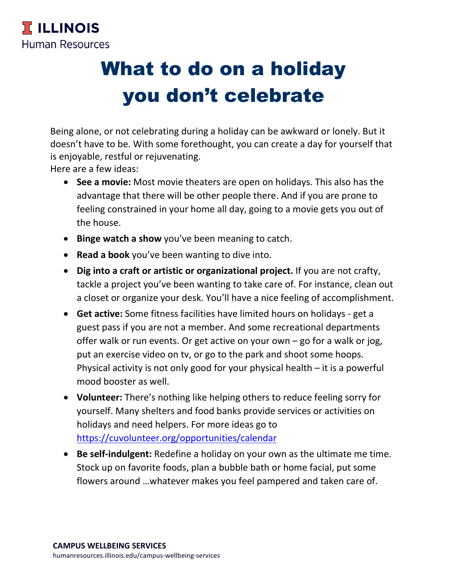

## What to do on a holiday you don't celebrate

Being alone, or not celebrating during a holiday can be awkward or lonely. But it doesn't have to be. With some forethought, you can create a day for yourself that is enjoyable, restful or rejuvenating.

Here are a few ideas:

- **See a movie:** Most movie theaters are open on holidays. This also has the advantage that there will be other people there. And if you are prone to feeling constrained in your home all day, going to a movie gets you out of the house.
- **Binge watch a show** you've been meaning to catch.
- **Read a book** you've been wanting to dive into.
- **Dig into a craft or artistic or organizational project.** If you are not crafty, tackle a project you've been wanting to take care of. For instance, clean out a closet or organize your desk. You'll have a nice feeling of accomplishment.
- **Get active:** Some fitness facilities have limited hours on holidays get a guest pass if you are not a member. And some recreational departments offer walk or run events. Or get active on your own – go for a walk or jog, put an exercise video on tv, or go to the park and shoot some hoops. Physical activity is not only good for your physical health – it is a powerful mood booster as well.
- **Volunteer:** There's nothing like helping others to reduce feeling sorry for yourself. Many shelters and food banks provide services or activities on holidays and need helpers. For more ideas go to https://cuvolunteer.org/opportunities/calendar
- **Be self-indulgent:** Redefine a holiday on your own as the ultimate me time. Stock up on favorite foods, plan a bubble bath or home facial, put some flowers around …whatever makes you feel pampered and taken care of.